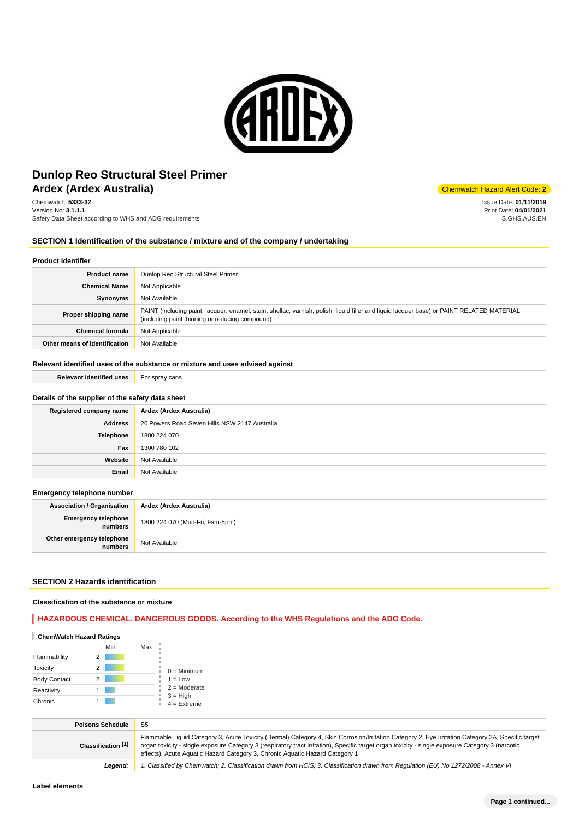

## **Ardex (Ardex Australia)** Ardex Australia and Alert Code: **2 Dunlop Reo Structural Steel Primer**

Chemwatch: **5333-32** Version No: **3.1.1.1** Safety Data Sheet according to WHS and ADG requirements

#### **SECTION 1 Identification of the substance / mixture and of the company / undertaking**

#### **Product Identifier**

| <b>Product name</b>           | Dunlop Reo Structural Steel Primer                                                                                                                                                            |  |  |
|-------------------------------|-----------------------------------------------------------------------------------------------------------------------------------------------------------------------------------------------|--|--|
| <b>Chemical Name</b>          | Not Applicable                                                                                                                                                                                |  |  |
| Synonyms                      | Not Available                                                                                                                                                                                 |  |  |
| Proper shipping name          | PAINT (including paint, lacquer, enamel, stain, shellac, varnish, polish, liquid filler and liquid lacquer base) or PAINT RELATED MATERIAL<br>(including paint thinning or reducing compound) |  |  |
| <b>Chemical formula</b>       | Not Applicable                                                                                                                                                                                |  |  |
| Other means of identification | Not Available                                                                                                                                                                                 |  |  |

#### **Relevant identified uses of the substance or mixture and uses advised against**

**Relevant identified uses** For spray cans.

#### **Details of the supplier of the safety data sheet**

| Registered company name | Ardex (Ardex Australia)                       |  |
|-------------------------|-----------------------------------------------|--|
| <b>Address</b>          | 20 Powers Road Seven Hills NSW 2147 Australia |  |
| Telephone               | 1800 224 070                                  |  |
| Fax                     | 1300 780 102                                  |  |
| Website                 | Not Available                                 |  |
| Email                   | Not Available                                 |  |

#### **Emergency telephone number**

| <b>Association / Organisation</b>    | Ardex (Ardex Australia)         |  |
|--------------------------------------|---------------------------------|--|
| Emergency telephone<br>numbers       | 1800 224 070 (Mon-Fri, 9am-5pm) |  |
| Other emergency telephone<br>numbers | Not Available                   |  |

## **SECTION 2 Hazards identification**

### **Classification of the substance or mixture**

## **HAZARDOUS CHEMICAL. DANGEROUS GOODS. According to the WHS Regulations and the ADG Code.**

## **ChemWatch Hazard Ratings**

|                     |   | Min | Max |                             |
|---------------------|---|-----|-----|-----------------------------|
| Flammability        |   |     |     |                             |
| <b>Toxicity</b>     | 2 |     |     | $0 =$ Minimum               |
| <b>Body Contact</b> | 2 |     |     | $1 = Low$                   |
| Reactivity          |   |     |     | $2 =$ Moderate              |
| Chronic             |   |     |     | $3 = High$<br>$4 =$ Extreme |

| <b>Poisons Schedule</b> | S <sub>5</sub>                                                                                                                                                                                                                                                                                                                                                                          |
|-------------------------|-----------------------------------------------------------------------------------------------------------------------------------------------------------------------------------------------------------------------------------------------------------------------------------------------------------------------------------------------------------------------------------------|
| Classification [1]      | Flammable Liquid Category 3, Acute Toxicity (Dermal) Category 4, Skin Corrosion/Irritation Category 2, Eye Irritation Category 2A, Specific target<br>organ toxicity - single exposure Category 3 (respiratory tract irritation), Specific target organ toxicity - single exposure Category 3 (narcotic<br>effects), Acute Aquatic Hazard Category 3, Chronic Aquatic Hazard Category 1 |
| Leaend:                 | 1. Classified by Chemwatch; 2. Classification drawn from HCIS; 3. Classification drawn from Requlation (EU) No 1272/2008 - Annex VI                                                                                                                                                                                                                                                     |

Issue Date: **01/11/2019** Print Date: **04/01/2021** S.GHS.AUS.EN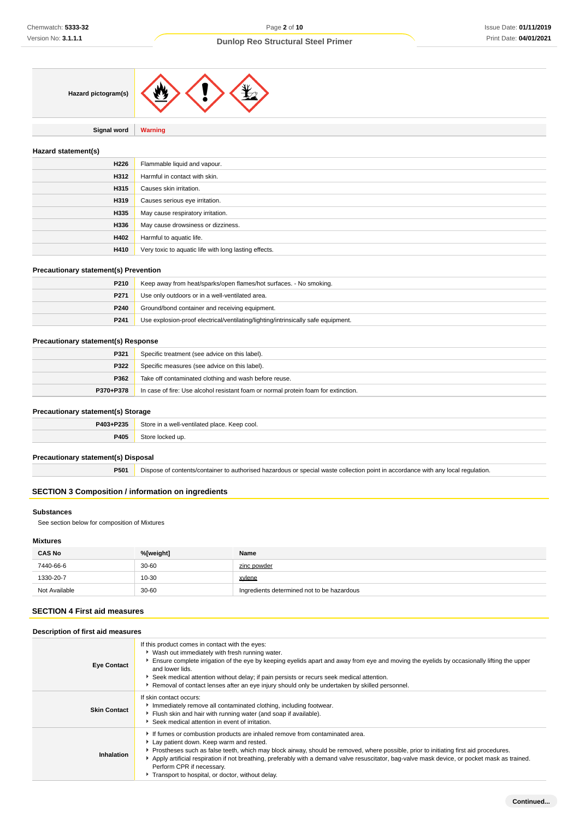**Signal word Warning**

#### **Hazard statement(s)**

| H226 | Flammable liquid and vapour.                          |
|------|-------------------------------------------------------|
| H312 | Harmful in contact with skin.                         |
| H315 | Causes skin irritation.                               |
| H319 | Causes serious eye irritation.                        |
| H335 | May cause respiratory irritation.                     |
| H336 | May cause drowsiness or dizziness.                    |
| H402 | Harmful to aquatic life.                              |
| H410 | Very toxic to aquatic life with long lasting effects. |

## **Precautionary statement(s) Prevention**

| P210             | Keep away from heat/sparks/open flames/hot surfaces. - No smoking.                |  |
|------------------|-----------------------------------------------------------------------------------|--|
| P <sub>271</sub> | Use only outdoors or in a well-ventilated area.                                   |  |
| P240             | Ground/bond container and receiving equipment.                                    |  |
| P <sub>241</sub> | Use explosion-proof electrical/ventilating/lighting/intrinsically safe equipment. |  |

#### **Precautionary statement(s) Response**

| P321      | Specific treatment (see advice on this label).                                     |  |
|-----------|------------------------------------------------------------------------------------|--|
| P322      | Specific measures (see advice on this label).                                      |  |
| P362      | Take off contaminated clothing and wash before reuse.                              |  |
| P370+P378 | In case of fire: Use alcohol resistant foam or normal protein foam for extinction. |  |

## **Precautionary statement(s) Storage**

| P403+P235 | Store<br><u>়</u> in a well-ventilated place.<br>. Keep cool. |  |
|-----------|---------------------------------------------------------------|--|
| P405      | i un                                                          |  |

#### **Precautionary statement(s) Disposal**

**P501** Dispose of contents/container to authorised hazardous or special waste collection point in accordance with any local regulation.

## **SECTION 3 Composition / information on ingredients**

## **Substances**

See section below for composition of Mixtures

## **Mixtures**

| <b>CAS No</b> | %[weight] | Name                                       |
|---------------|-----------|--------------------------------------------|
| 7440-66-6     | $30 - 60$ | zinc powder                                |
| 1330-20-7     | 10-30     | xylene                                     |
| Not Available | $30 - 60$ | Ingredients determined not to be hazardous |

## **SECTION 4 First aid measures**

## **Description of first aid measures**

| <b>Eye Contact</b>  | If this product comes in contact with the eyes:<br>▶ Wash out immediately with fresh running water.<br>Ensure complete irrigation of the eye by keeping eyelids apart and away from eye and moving the eyelids by occasionally lifting the upper<br>and lower lids.<br>► Seek medical attention without delay; if pain persists or recurs seek medical attention.<br>Removal of contact lenses after an eye injury should only be undertaken by skilled personnel.                              |  |
|---------------------|-------------------------------------------------------------------------------------------------------------------------------------------------------------------------------------------------------------------------------------------------------------------------------------------------------------------------------------------------------------------------------------------------------------------------------------------------------------------------------------------------|--|
| <b>Skin Contact</b> | If skin contact occurs:<br>Immediately remove all contaminated clothing, including footwear.<br>Flush skin and hair with running water (and soap if available).<br>Seek medical attention in event of irritation.                                                                                                                                                                                                                                                                               |  |
| Inhalation          | If fumes or combustion products are inhaled remove from contaminated area.<br>Lay patient down. Keep warm and rested.<br>Prostheses such as false teeth, which may block airway, should be removed, where possible, prior to initiating first aid procedures.<br>Apply artificial respiration if not breathing, preferably with a demand valve resuscitator, bag-valve mask device, or pocket mask as trained.<br>Perform CPR if necessary.<br>Transport to hospital, or doctor, without delay. |  |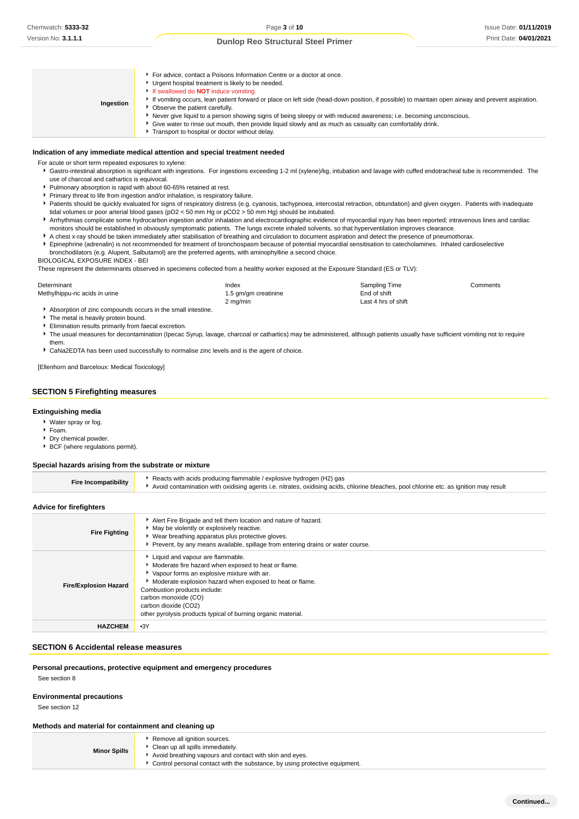| Ingestion | For advice, contact a Poisons Information Centre or a doctor at once.<br>Urgent hospital treatment is likely to be needed.<br>If swallowed do <b>NOT</b> induce vomiting.<br>If vomiting occurs, lean patient forward or place on left side (head-down position, if possible) to maintain open airway and prevent aspiration.<br>• Observe the patient carefully.<br>Never give liquid to a person showing signs of being sleepy or with reduced awareness; i.e. becoming unconscious.<br>Give water to rinse out mouth, then provide liquid slowly and as much as casualty can comfortably drink.<br>Transport to hospital or doctor without delay. |
|-----------|------------------------------------------------------------------------------------------------------------------------------------------------------------------------------------------------------------------------------------------------------------------------------------------------------------------------------------------------------------------------------------------------------------------------------------------------------------------------------------------------------------------------------------------------------------------------------------------------------------------------------------------------------|
|-----------|------------------------------------------------------------------------------------------------------------------------------------------------------------------------------------------------------------------------------------------------------------------------------------------------------------------------------------------------------------------------------------------------------------------------------------------------------------------------------------------------------------------------------------------------------------------------------------------------------------------------------------------------------|

#### **Indication of any immediate medical attention and special treatment needed**

For acute or short term repeated exposures to xylene:

- Gastro-intestinal absorption is significant with ingestions. For ingestions exceeding 1-2 ml (xylene)/kg, intubation and lavage with cuffed endotracheal tube is recommended. The use of charcoal and cathartics is equivocal.
- Pulmonary absorption is rapid with about 60-65% retained at rest.
- Primary threat to life from ingestion and/or inhalation, is respiratory failure.
- Patients should be quickly evaluated for signs of respiratory distress (e.g. cyanosis, tachypnoea, intercostal retraction, obtundation) and given oxygen. Patients with inadequate tidal volumes or poor arterial blood gases (pO2 < 50 mm Hg or pCO2 > 50 mm Hg) should be intubated.
- **Arrhythmias complicate some hydrocarbon ingestion and/or inhalation and electrocardiographic evidence of myocardial injury has been reported; intravenous lines and cardiac** monitors should be established in obviously symptomatic patients. The lungs excrete inhaled solvents, so that hyperventilation improves clearance.
- A chest x-ray should be taken immediately after stabilisation of breathing and circulation to document aspiration and detect the presence of pneumothorax. Epinephrine (adrenalin) is not recommended for treatment of bronchospasm because of potential myocardial sensitisation to catecholamines. Inhaled cardioselective bronchodilators (e.g. Alupent, Salbutamol) are the preferred agents, with aminophylline a second choice.
- BIOLOGICAL EXPOSURE INDEX BEI

These represent the determinants observed in specimens collected from a healthy worker exposed at the Exposure Standard (ES or TLV):

| Determinant                    | Index                | Sampling Time       | Comments |
|--------------------------------|----------------------|---------------------|----------|
| Methylhippu-ric acids in urine | 1.5 gm/gm creatinine | End of shift        |          |
|                                | $2 \text{ ma/min}$   | Last 4 hrs of shift |          |

1.5 gm/gm creatinine in urine in urine in urine in urine 1.5 gm/gm creatinine end of shift 2 mg/min Last 4 hrs of shift

Absorption of zinc compounds occurs in the small intestine.

- The metal is heavily protein bound.
- Elimination results primarily from faecal excretion.
- ▶ The usual measures for decontamination (Ipecac Syrup, lavage, charcoal or cathartics) may be administered, although patients usually have sufficient vomiting not to require them.
- CaNa2EDTA has been used successfully to normalise zinc levels and is the agent of choice.

[Ellenhorn and Barceloux: Medical Toxicology]

#### **SECTION 5 Firefighting measures**

#### **Extinguishing media**

- Water spray or fog.
- $F$ Foam.
- **Dry chemical powder.**
- BCF (where regulations permit).

### **Special hazards arising from the substrate or mixture**

| <b>Fire Incompatibility</b> | Reacts with acids producing flammable / explosive hydrogen (H2) gas<br>Avoid contamination with oxidising agents i.e. nitrates, oxidising acids, chlorine bleaches, pool chlorine etc. as ignition may result |
|-----------------------------|---------------------------------------------------------------------------------------------------------------------------------------------------------------------------------------------------------------|
|                             |                                                                                                                                                                                                               |

#### **Advice for firefighters**

| <b>Fire Fighting</b>         | Alert Fire Brigade and tell them location and nature of hazard.<br>• May be violently or explosively reactive.<br>▶ Wear breathing apparatus plus protective gloves.<br>Prevent, by any means available, spillage from entering drains or water course.                                                                                               |
|------------------------------|-------------------------------------------------------------------------------------------------------------------------------------------------------------------------------------------------------------------------------------------------------------------------------------------------------------------------------------------------------|
| <b>Fire/Explosion Hazard</b> | Liquid and vapour are flammable.<br>Moderate fire hazard when exposed to heat or flame.<br>• Vapour forms an explosive mixture with air.<br>Moderate explosion hazard when exposed to heat or flame.<br>Combustion products include:<br>carbon monoxide (CO)<br>carbon dioxide (CO2)<br>other pyrolysis products typical of burning organic material. |
| <b>HAZCHEM</b>               | $-3Y$                                                                                                                                                                                                                                                                                                                                                 |

#### **SECTION 6 Accidental release measures**

#### **Personal precautions, protective equipment and emergency procedures**

See section 8

## **Environmental precautions**

See section 12

#### **Methods and material for containment and cleaning up**

|                     | Remove all ignition sources.     |
|---------------------|----------------------------------|
| <b>Minor Spills</b> | Clean up all spills immediately. |
|                     |                                  |

- 
- Avoid breathing vapours and contact with skin and eyes. Control personal contact with the substance, by using protective equipment.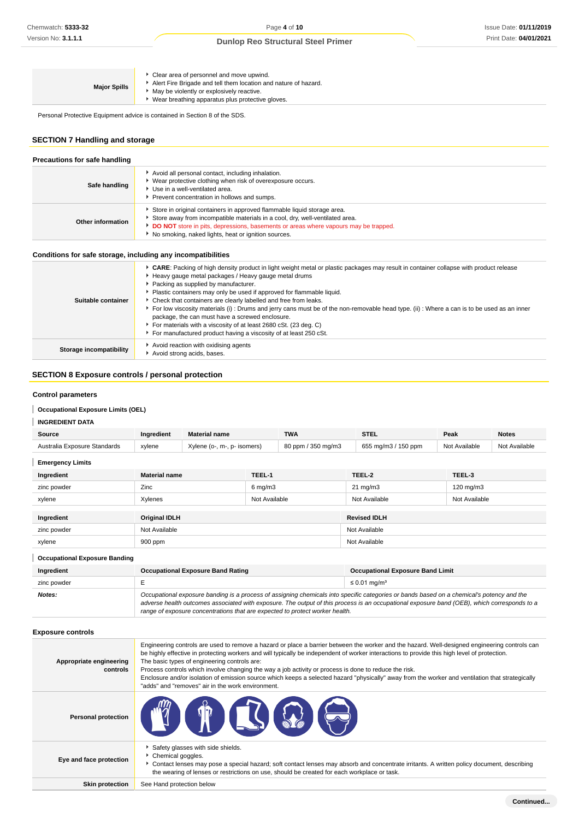| <b>Major Spills</b> | Clear area of personnel and move upwind.<br>Alert Fire Brigade and tell them location and nature of hazard.<br>• May be violently or explosively reactive.<br>Wear breathing apparatus plus protective gloves. |
|---------------------|----------------------------------------------------------------------------------------------------------------------------------------------------------------------------------------------------------------|
|                     |                                                                                                                                                                                                                |

Personal Protective Equipment advice is contained in Section 8 of the SDS.

## **SECTION 7 Handling and storage**

|                   | Precautions for safe handling                                                                                                                                                                                                                                                                           |  |  |
|-------------------|---------------------------------------------------------------------------------------------------------------------------------------------------------------------------------------------------------------------------------------------------------------------------------------------------------|--|--|
| Safe handling     | Avoid all personal contact, including inhalation.<br>▶ Wear protective clothing when risk of overexposure occurs.<br>▶ Use in a well-ventilated area.<br>Prevent concentration in hollows and sumps.                                                                                                    |  |  |
| Other information | Store in original containers in approved flammable liquid storage area.<br>Store away from incompatible materials in a cool, dry, well-ventilated area.<br>DO NOT store in pits, depressions, basements or areas where vapours may be trapped.<br>▶ No smoking, naked lights, heat or ignition sources. |  |  |

## **Conditions for safe storage, including any incompatibilities**

| Suitable container      | CARE: Packing of high density product in light weight metal or plastic packages may result in container collapse with product release<br>Heavy gauge metal packages / Heavy gauge metal drums<br>Packing as supplied by manufacturer.<br>Plastic containers may only be used if approved for flammable liquid.<br>Check that containers are clearly labelled and free from leaks.<br>For low viscosity materials (i): Drums and jerry cans must be of the non-removable head type. (ii): Where a can is to be used as an inner<br>package, the can must have a screwed enclosure.<br>For materials with a viscosity of at least 2680 cSt. (23 deg. C)<br>For manufactured product having a viscosity of at least 250 cSt. |
|-------------------------|---------------------------------------------------------------------------------------------------------------------------------------------------------------------------------------------------------------------------------------------------------------------------------------------------------------------------------------------------------------------------------------------------------------------------------------------------------------------------------------------------------------------------------------------------------------------------------------------------------------------------------------------------------------------------------------------------------------------------|
| Storage incompatibility | Avoid reaction with oxidising agents<br>Avoid strong acids, bases.                                                                                                                                                                                                                                                                                                                                                                                                                                                                                                                                                                                                                                                        |

## **SECTION 8 Exposure controls / personal protection**

#### **Control parameters**

## **Occupational Exposure Limits (OEL)**

| Source                       | Ingredient | <b>Material name</b>        | <b>TWA</b>         | STEL                | Peak          | <b>Notes</b>  |
|------------------------------|------------|-----------------------------|--------------------|---------------------|---------------|---------------|
| Australia Exposure Standards | xylene     | Xylene (o-, m-, p- isomers) | 80 ppm / 350 mg/m3 | 655 mg/m3 / 150 ppm | Not Available | Not Available |
| <b>Emergency Limits</b>      |            |                             |                    |                     |               |               |

| Ingredient  | <b>Material name</b> | TEEL-1             | TEEL-2              | TEEL-3        |
|-------------|----------------------|--------------------|---------------------|---------------|
| zinc powder | Zinc                 | $6 \text{ mg/m}$ 3 | $21 \text{ mg/m}$   | 120 mg/m3     |
| xylene      | Xylenes              | Not Available      | Not Available       | Not Available |
|             |                      |                    |                     |               |
| Ingredient  | <b>Original IDLH</b> |                    | <b>Revised IDLH</b> |               |
| zinc powder | Not Available        |                    | Not Available       |               |
| xylene      | 900 ppm              |                    | Not Available       |               |

ı **Occupational Exposure Banding Ingredient Occupational Exposure Band Rating Occupational Exposure Band Limit** zinc powder E  $\leq 0.01$  mg/m<sup>3</sup> **Notes: Occupational exposure banding is a process of assigning chemicals into specific categories or bands based on a chemical's potency and the <b>Notes**: adverse health outcomes associated with exposure. The output of this process is an occupational exposure band (OEB), which corresponds to a range of exposure concentrations that are expected to protect worker health.

## **Exposure controls**

| Appropriate engineering<br>controls | Engineering controls are used to remove a hazard or place a barrier between the worker and the hazard. Well-designed engineering controls can<br>be highly effective in protecting workers and will typically be independent of worker interactions to provide this high level of protection.<br>The basic types of engineering controls are:<br>Process controls which involve changing the way a job activity or process is done to reduce the risk.<br>Enclosure and/or isolation of emission source which keeps a selected hazard "physically" away from the worker and ventilation that strategically<br>"adds" and "removes" air in the work environment. |
|-------------------------------------|-----------------------------------------------------------------------------------------------------------------------------------------------------------------------------------------------------------------------------------------------------------------------------------------------------------------------------------------------------------------------------------------------------------------------------------------------------------------------------------------------------------------------------------------------------------------------------------------------------------------------------------------------------------------|
| <b>Personal protection</b>          | TT TI & S                                                                                                                                                                                                                                                                                                                                                                                                                                                                                                                                                                                                                                                       |
| Eye and face protection             | Safety glasses with side shields.<br>Chemical goggles.<br>Contact lenses may pose a special hazard; soft contact lenses may absorb and concentrate irritants. A written policy document, describing<br>the wearing of lenses or restrictions on use, should be created for each workplace or task.                                                                                                                                                                                                                                                                                                                                                              |
| <b>Skin protection</b>              | See Hand protection below                                                                                                                                                                                                                                                                                                                                                                                                                                                                                                                                                                                                                                       |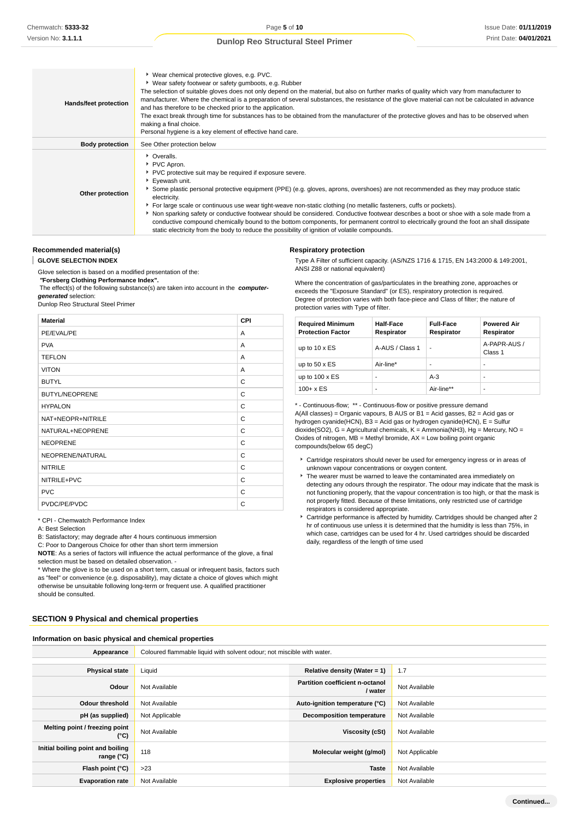| Hands/feet protection  | ▶ Wear chemical protective gloves, e.g. PVC.<br>• Wear safety footwear or safety gumboots, e.g. Rubber<br>The selection of suitable gloves does not only depend on the material, but also on further marks of quality which vary from manufacturer to<br>manufacturer. Where the chemical is a preparation of several substances, the resistance of the glove material can not be calculated in advance<br>and has therefore to be checked prior to the application.<br>The exact break through time for substances has to be obtained from the manufacturer of the protective gloves and has to be observed when<br>making a final choice.<br>Personal hygiene is a key element of effective hand care.                                                                  |
|------------------------|---------------------------------------------------------------------------------------------------------------------------------------------------------------------------------------------------------------------------------------------------------------------------------------------------------------------------------------------------------------------------------------------------------------------------------------------------------------------------------------------------------------------------------------------------------------------------------------------------------------------------------------------------------------------------------------------------------------------------------------------------------------------------|
| <b>Body protection</b> | See Other protection below                                                                                                                                                                                                                                                                                                                                                                                                                                                                                                                                                                                                                                                                                                                                                |
| Other protection       | • Overalls.<br>▶ PVC Apron.<br>▶ PVC protective suit may be required if exposure severe.<br>Eyewash unit.<br>Some plastic personal protective equipment (PPE) (e.g. gloves, aprons, overshoes) are not recommended as they may produce static<br>electricity.<br>For large scale or continuous use wear tight-weave non-static clothing (no metallic fasteners, cuffs or pockets).<br>▶ Non sparking safety or conductive footwear should be considered. Conductive footwear describes a boot or shoe with a sole made from a<br>conductive compound chemically bound to the bottom components, for permanent control to electrically ground the foot an shall dissipate<br>static electricity from the body to reduce the possibility of ignition of volatile compounds. |

## **Recommended material(s)**

I **GLOVE SELECTION INDEX**

Glove selection is based on a modified presentation of the:

 **"Forsberg Clothing Performance Index".**

The effect(s) of the following substance(s) are taken into account in the **computer-**

**generated** selection:

Dunlop Reo Structural Steel Primer

| <b>Material</b>       | <b>CPI</b> |
|-----------------------|------------|
| PE/EVAL/PE            | A          |
| <b>PVA</b>            | A          |
| <b>TEFLON</b>         | Α          |
| <b>VITON</b>          | A          |
| <b>BUTYL</b>          | C          |
| <b>BUTYL/NEOPRENE</b> | C          |
| <b>HYPALON</b>        | C          |
| NAT+NEOPR+NITRILE     | C          |
| NATURAL+NEOPRENE      | C          |
| <b>NEOPRENE</b>       | C          |
| NEOPRENE/NATURAL      | C          |
| <b>NITRILE</b>        | C          |
| NITRILE+PVC           | C          |
| <b>PVC</b>            | C          |
| PVDC/PE/PVDC          | C          |

\* CPI - Chemwatch Performance Index

A: Best Selection

B: Satisfactory; may degrade after 4 hours continuous immersion

C: Poor to Dangerous Choice for other than short term immersion

**NOTE**: As a series of factors will influence the actual performance of the glove, a final

selection must be based on detailed observation. -

\* Where the glove is to be used on a short term, casual or infrequent basis, factors such as "feel" or convenience (e.g. disposability), may dictate a choice of gloves which might otherwise be unsuitable following long-term or frequent use. A qualified practitioner should be consulted.

#### **SECTION 9 Physical and chemical properties**

**Information on basic physical and chemical properties**

**Respiratory protection**

Type A Filter of sufficient capacity. (AS/NZS 1716 & 1715, EN 143:2000 & 149:2001, ANSI Z88 or national equivalent)

Where the concentration of gas/particulates in the breathing zone, approaches or exceeds the "Exposure Standard" (or ES), respiratory protection is required. Degree of protection varies with both face-piece and Class of filter; the nature of protection varies with Type of filter.

| <b>Required Minimum</b><br><b>Protection Factor</b> | <b>Half-Face</b><br>Respirator | <b>Full-Face</b><br>Respirator | <b>Powered Air</b><br>Respirator |
|-----------------------------------------------------|--------------------------------|--------------------------------|----------------------------------|
| up to $10 \times ES$                                | A-AUS / Class 1                | ۰                              | A-PAPR-AUS /<br>Class 1          |
| up to $50 \times ES$                                | Air-line*                      |                                | -                                |
| up to $100 \times ES$                               |                                | $A-3$                          | -                                |
| $100 + x ES$                                        | ۰                              | Air-line**                     | -                                |

\* - Continuous-flow; \*\* - Continuous-flow or positive pressure demand A(All classes) = Organic vapours, B AUS or B1 = Acid gasses, B2 = Acid gas or hydrogen cyanide(HCN), B3 = Acid gas or hydrogen cyanide(HCN), E = Sulfur dioxide(SO2), G = Agricultural chemicals, K = Ammonia(NH3), Hg = Mercury, NO = Oxides of nitrogen,  $MB =$  Methyl bromide,  $AX =$  Low boiling point organic compounds(below 65 degC)

- Cartridge respirators should never be used for emergency ingress or in areas of unknown vapour concentrations or oxygen content.
- The wearer must be warned to leave the contaminated area immediately on detecting any odours through the respirator. The odour may indicate that the mask is not functioning properly, that the vapour concentration is too high, or that the mask is not properly fitted. Because of these limitations, only restricted use of cartridge respirators is considered appropriate.
- Cartridge performance is affected by humidity. Cartridges should be changed after 2 hr of continuous use unless it is determined that the humidity is less than 75%, in which case, cartridges can be used for 4 hr. Used cartridges should be discarded daily, regardless of the length of time used

| information on basic physical and chemical properties |                                                                        |                                                   |                |
|-------------------------------------------------------|------------------------------------------------------------------------|---------------------------------------------------|----------------|
| Appearance                                            | Coloured flammable liquid with solvent odour; not miscible with water. |                                                   |                |
|                                                       |                                                                        |                                                   |                |
| <b>Physical state</b>                                 | Liquid                                                                 | Relative density (Water = $1$ )                   | 1.7            |
| Odour                                                 | Not Available                                                          | <b>Partition coefficient n-octanol</b><br>/ water | Not Available  |
| <b>Odour threshold</b>                                | Not Available                                                          | Auto-ignition temperature (°C)                    | Not Available  |
| pH (as supplied)                                      | Not Applicable                                                         | <b>Decomposition temperature</b>                  | Not Available  |
| Melting point / freezing point<br>(°C)                | Not Available                                                          | Viscosity (cSt)                                   | Not Available  |
| Initial boiling point and boiling<br>range $(°C)$     | 118                                                                    | Molecular weight (g/mol)                          | Not Applicable |
| Flash point (°C)                                      | >23                                                                    | <b>Taste</b>                                      | Not Available  |
| <b>Evaporation rate</b>                               | Not Available                                                          | <b>Explosive properties</b>                       | Not Available  |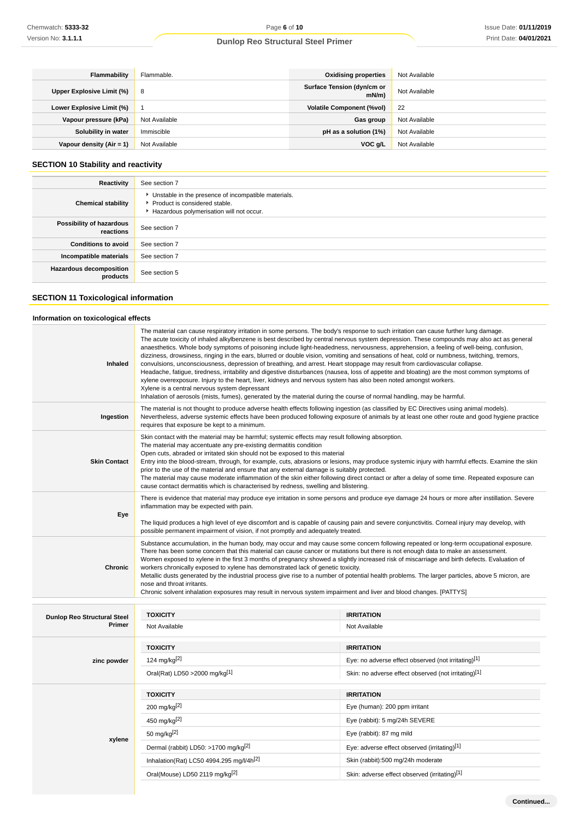| Flammability              | Flammable.    | <b>Oxidising properties</b>            | Not Available |
|---------------------------|---------------|----------------------------------------|---------------|
| Upper Explosive Limit (%) | 8             | Surface Tension (dyn/cm or<br>$mN/m$ ) | Not Available |
| Lower Explosive Limit (%) |               | <b>Volatile Component (%vol)</b>       | -22           |
| Vapour pressure (kPa)     | Not Available | Gas group                              | Not Available |
| Solubility in water       | Immiscible    | pH as a solution (1%)                  | Not Available |
| Vapour density (Air = 1)  | Not Available | VOC g/L                                | Not Available |

## **SECTION 10 Stability and reactivity**

| See section 7                                                                                                                        |
|--------------------------------------------------------------------------------------------------------------------------------------|
| • Unstable in the presence of incompatible materials.<br>▶ Product is considered stable.<br>Hazardous polymerisation will not occur. |
| See section 7                                                                                                                        |
| See section 7                                                                                                                        |
| See section 7                                                                                                                        |
| See section 5                                                                                                                        |
|                                                                                                                                      |

## **SECTION 11 Toxicological information**

## **Information on toxicological effects**

| <b>Inhaled</b>                               | The material can cause respiratory irritation in some persons. The body's response to such irritation can cause further lung damage.<br>The acute toxicity of inhaled alkylbenzene is best described by central nervous system depression. These compounds may also act as general<br>anaesthetics. Whole body symptoms of poisoning include light-headedness, nervousness, apprehension, a feeling of well-being, confusion,<br>dizziness, drowsiness, ringing in the ears, blurred or double vision, vomiting and sensations of heat, cold or numbness, twitching, tremors,<br>convulsions, unconsciousness, depression of breathing, and arrest. Heart stoppage may result from cardiovascular collapse.<br>Headache, fatigue, tiredness, irritability and digestive disturbances (nausea, loss of appetite and bloating) are the most common symptoms of<br>xylene overexposure. Injury to the heart, liver, kidneys and nervous system has also been noted amongst workers.<br>Xylene is a central nervous system depressant<br>Inhalation of aerosols (mists, fumes), generated by the material during the course of normal handling, may be harmful. |                                                      |  |
|----------------------------------------------|-------------------------------------------------------------------------------------------------------------------------------------------------------------------------------------------------------------------------------------------------------------------------------------------------------------------------------------------------------------------------------------------------------------------------------------------------------------------------------------------------------------------------------------------------------------------------------------------------------------------------------------------------------------------------------------------------------------------------------------------------------------------------------------------------------------------------------------------------------------------------------------------------------------------------------------------------------------------------------------------------------------------------------------------------------------------------------------------------------------------------------------------------------------|------------------------------------------------------|--|
| Ingestion                                    | The material is not thought to produce adverse health effects following ingestion (as classified by EC Directives using animal models).<br>Nevertheless, adverse systemic effects have been produced following exposure of animals by at least one other route and good hygiene practice<br>requires that exposure be kept to a minimum.                                                                                                                                                                                                                                                                                                                                                                                                                                                                                                                                                                                                                                                                                                                                                                                                                    |                                                      |  |
| <b>Skin Contact</b>                          | Skin contact with the material may be harmful; systemic effects may result following absorption.<br>The material may accentuate any pre-existing dermatitis condition<br>Open cuts, abraded or irritated skin should not be exposed to this material<br>Entry into the blood-stream, through, for example, cuts, abrasions or lesions, may produce systemic injury with harmful effects. Examine the skin<br>prior to the use of the material and ensure that any external damage is suitably protected.<br>The material may cause moderate inflammation of the skin either following direct contact or after a delay of some time. Repeated exposure can<br>cause contact dermatitis which is characterised by redness, swelling and blistering.                                                                                                                                                                                                                                                                                                                                                                                                           |                                                      |  |
| Eye                                          | There is evidence that material may produce eye irritation in some persons and produce eye damage 24 hours or more after instillation. Severe<br>inflammation may be expected with pain.<br>The liquid produces a high level of eye discomfort and is capable of causing pain and severe conjunctivitis. Corneal injury may develop, with<br>possible permanent impairment of vision, if not promptly and adequately treated.                                                                                                                                                                                                                                                                                                                                                                                                                                                                                                                                                                                                                                                                                                                               |                                                      |  |
| <b>Chronic</b>                               | Substance accumulation, in the human body, may occur and may cause some concern following repeated or long-term occupational exposure.<br>There has been some concern that this material can cause cancer or mutations but there is not enough data to make an assessment.<br>Women exposed to xylene in the first 3 months of pregnancy showed a slightly increased risk of miscarriage and birth defects. Evaluation of<br>workers chronically exposed to xylene has demonstrated lack of genetic toxicity.<br>Metallic dusts generated by the industrial process give rise to a number of potential health problems. The larger particles, above 5 micron, are<br>nose and throat irritants.<br>Chronic solvent inhalation exposures may result in nervous system impairment and liver and blood changes. [PATTYS]                                                                                                                                                                                                                                                                                                                                       |                                                      |  |
|                                              | <b>TOXICITY</b>                                                                                                                                                                                                                                                                                                                                                                                                                                                                                                                                                                                                                                                                                                                                                                                                                                                                                                                                                                                                                                                                                                                                             | <b>IRRITATION</b>                                    |  |
| <b>Dunlop Reo Structural Steel</b><br>Primer | Not Available                                                                                                                                                                                                                                                                                                                                                                                                                                                                                                                                                                                                                                                                                                                                                                                                                                                                                                                                                                                                                                                                                                                                               | Not Available                                        |  |
|                                              |                                                                                                                                                                                                                                                                                                                                                                                                                                                                                                                                                                                                                                                                                                                                                                                                                                                                                                                                                                                                                                                                                                                                                             |                                                      |  |
|                                              | <b>TOXICITY</b>                                                                                                                                                                                                                                                                                                                                                                                                                                                                                                                                                                                                                                                                                                                                                                                                                                                                                                                                                                                                                                                                                                                                             | <b>IRRITATION</b>                                    |  |
| zinc powder                                  | 124 mg/kg <sup>[2]</sup>                                                                                                                                                                                                                                                                                                                                                                                                                                                                                                                                                                                                                                                                                                                                                                                                                                                                                                                                                                                                                                                                                                                                    | Eye: no adverse effect observed (not irritating)[1]  |  |
|                                              | Oral(Rat) LD50 > 2000 mg/kg[1]                                                                                                                                                                                                                                                                                                                                                                                                                                                                                                                                                                                                                                                                                                                                                                                                                                                                                                                                                                                                                                                                                                                              | Skin: no adverse effect observed (not irritating)[1] |  |
|                                              | <b>TOXICITY</b>                                                                                                                                                                                                                                                                                                                                                                                                                                                                                                                                                                                                                                                                                                                                                                                                                                                                                                                                                                                                                                                                                                                                             | <b>IRRITATION</b>                                    |  |
|                                              | 200 mg/kg <sup>[2]</sup>                                                                                                                                                                                                                                                                                                                                                                                                                                                                                                                                                                                                                                                                                                                                                                                                                                                                                                                                                                                                                                                                                                                                    | Eye (human): 200 ppm irritant                        |  |
|                                              | 450 mg/kg <sup>[2]</sup>                                                                                                                                                                                                                                                                                                                                                                                                                                                                                                                                                                                                                                                                                                                                                                                                                                                                                                                                                                                                                                                                                                                                    | Eye (rabbit): 5 mg/24h SEVERE                        |  |
|                                              | 50 mg/kg $[2]$                                                                                                                                                                                                                                                                                                                                                                                                                                                                                                                                                                                                                                                                                                                                                                                                                                                                                                                                                                                                                                                                                                                                              | Eye (rabbit): 87 mg mild                             |  |
| xylene                                       | Dermal (rabbit) LD50: >1700 mg/kg <sup>[2]</sup>                                                                                                                                                                                                                                                                                                                                                                                                                                                                                                                                                                                                                                                                                                                                                                                                                                                                                                                                                                                                                                                                                                            | Eye: adverse effect observed (irritating)[1]         |  |
|                                              | Inhalation(Rat) LC50 4994.295 mg/l/4h <sup>[2]</sup>                                                                                                                                                                                                                                                                                                                                                                                                                                                                                                                                                                                                                                                                                                                                                                                                                                                                                                                                                                                                                                                                                                        | Skin (rabbit):500 mg/24h moderate                    |  |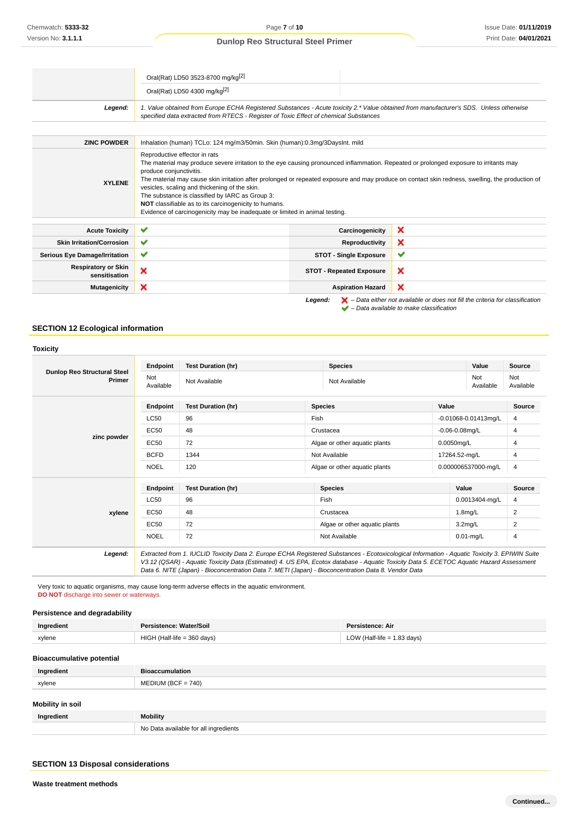|                                             | Oral(Rat) LD50 3523-8700 mg/kg <sup>[2]</sup>                                                                                                                                                                                                                                                                                                                                                                                                  |                                 |                                                                                                                                                  |
|---------------------------------------------|------------------------------------------------------------------------------------------------------------------------------------------------------------------------------------------------------------------------------------------------------------------------------------------------------------------------------------------------------------------------------------------------------------------------------------------------|---------------------------------|--------------------------------------------------------------------------------------------------------------------------------------------------|
|                                             | Oral(Rat) LD50 4300 mg/kg <sup>[2]</sup>                                                                                                                                                                                                                                                                                                                                                                                                       |                                 |                                                                                                                                                  |
| Legend:                                     | 1. Value obtained from Europe ECHA Registered Substances - Acute toxicity 2.* Value obtained from manufacturer's SDS. Unless otherwise<br>specified data extracted from RTECS - Register of Toxic Effect of chemical Substances                                                                                                                                                                                                                |                                 |                                                                                                                                                  |
|                                             |                                                                                                                                                                                                                                                                                                                                                                                                                                                |                                 |                                                                                                                                                  |
| <b>ZINC POWDER</b>                          | Inhalation (human) TCLo: 124 mg/m3/50min. Skin (human):0.3mg/3DaysInt. mild                                                                                                                                                                                                                                                                                                                                                                    |                                 |                                                                                                                                                  |
| <b>XYLENE</b>                               | Reproductive effector in rats<br>The material may produce severe irritation to the eye causing pronounced inflammation. Repeated or prolonged exposure to irritants may<br>produce conjunctivitis.<br>vesicles, scaling and thickening of the skin.<br>The substance is classified by IARC as Group 3:<br>NOT classifiable as to its carcinogenicity to humans.<br>Evidence of carcinogenicity may be inadequate or limited in animal testing. |                                 | The material may cause skin irritation after prolonged or repeated exposure and may produce on contact skin redness, swelling, the production of |
| <b>Acute Toxicity</b>                       | $\checkmark$                                                                                                                                                                                                                                                                                                                                                                                                                                   | Carcinogenicity                 | ×                                                                                                                                                |
| <b>Skin Irritation/Corrosion</b>            | ✔                                                                                                                                                                                                                                                                                                                                                                                                                                              | Reproductivity                  | ×                                                                                                                                                |
| <b>Serious Eye Damage/Irritation</b>        | ✔                                                                                                                                                                                                                                                                                                                                                                                                                                              | <b>STOT - Single Exposure</b>   | ✔                                                                                                                                                |
| <b>Respiratory or Skin</b><br>sensitisation | ×                                                                                                                                                                                                                                                                                                                                                                                                                                              | <b>STOT - Repeated Exposure</b> | ×                                                                                                                                                |
| <b>Mutagenicity</b>                         | ×                                                                                                                                                                                                                                                                                                                                                                                                                                              | <b>Aspiration Hazard</b>        | ×                                                                                                                                                |
|                                             |                                                                                                                                                                                                                                                                                                                                                                                                                                                | Legend:                         | $\blacktriangleright$ – Data either not available or does not fill the criteria for classification                                               |

 $\blacktriangleright$  – Data available to make classification

## **SECTION 12 Ecological information**

|                                              | Endpoint         | <b>Test Duration (hr)</b>                                                                                                                                                                                                                                                                                                                                                                       |                                | <b>Species</b>                |                     | Value                     | <b>Source</b>    |
|----------------------------------------------|------------------|-------------------------------------------------------------------------------------------------------------------------------------------------------------------------------------------------------------------------------------------------------------------------------------------------------------------------------------------------------------------------------------------------|--------------------------------|-------------------------------|---------------------|---------------------------|------------------|
| <b>Dunlop Reo Structural Steel</b><br>Primer | Not<br>Available | Not Available                                                                                                                                                                                                                                                                                                                                                                                   |                                | Not Available                 |                     | Not<br>Available          | Not<br>Available |
|                                              | Endpoint         | <b>Test Duration (hr)</b>                                                                                                                                                                                                                                                                                                                                                                       |                                | <b>Species</b>                | Value               |                           | <b>Source</b>    |
|                                              | <b>LC50</b>      | 96                                                                                                                                                                                                                                                                                                                                                                                              | Fish                           |                               |                     | $-0.01068 - 0.01413$ mg/L | 4                |
|                                              | EC50             | 48                                                                                                                                                                                                                                                                                                                                                                                              |                                | Crustacea                     | $-0.06 - 0.08$ mg/L |                           | 4                |
| zinc powder                                  | EC50             | 72                                                                                                                                                                                                                                                                                                                                                                                              | Algae or other aquatic plants  |                               | 0.0050mg/L          |                           | 4                |
|                                              | <b>BCFD</b>      | 1344                                                                                                                                                                                                                                                                                                                                                                                            | Not Available<br>17264.52-mg/L |                               |                     | 4                         |                  |
|                                              | <b>NOEL</b>      | 120                                                                                                                                                                                                                                                                                                                                                                                             |                                | Algae or other aquatic plants |                     | 0.000006537000-mg/L       | 4                |
|                                              | <b>Endpoint</b>  | <b>Test Duration (hr)</b>                                                                                                                                                                                                                                                                                                                                                                       |                                | <b>Species</b>                |                     | Value                     | <b>Source</b>    |
|                                              | <b>LC50</b>      | 96                                                                                                                                                                                                                                                                                                                                                                                              |                                | Fish                          |                     | 0.0013404-mg/L            | 4                |
| xylene                                       | EC50             | 48                                                                                                                                                                                                                                                                                                                                                                                              |                                | Crustacea                     |                     | $1.8$ mg/L                | 2                |
|                                              | EC50             | 72                                                                                                                                                                                                                                                                                                                                                                                              |                                | Algae or other aquatic plants |                     | 3.2 <sub>mq/L</sub>       | 2                |
|                                              | <b>NOEL</b>      | 72                                                                                                                                                                                                                                                                                                                                                                                              |                                | Not Available                 |                     | $0.01$ -mg/L              | 4                |
| Legend:                                      |                  | Extracted from 1. IUCLID Toxicity Data 2. Europe ECHA Registered Substances - Ecotoxicological Information - Aquatic Toxicity 3. EPIWIN Suite<br>V3.12 (QSAR) - Aquatic Toxicity Data (Estimated) 4. US EPA, Ecotox database - Aquatic Toxicity Data 5. ECETOC Aquatic Hazard Assessment<br>Data 6. NITE (Japan) - Bioconcentration Data 7. METI (Japan) - Bioconcentration Data 8. Vendor Data |                                |                               |                     |                           |                  |

Very toxic to aquatic organisms, may cause long-term adverse effects in the aquatic environment. **DO NOT** discharge into sewer or waterways.

## **Persistence and degradability**

| Ingredient | sistence: Water/Soilː            | Persistence: Air            |
|------------|----------------------------------|-----------------------------|
| xylene     | I (Half-life = 360 davs)<br>HIGH | LOW (Half-life = 1.83 davs) |

#### **Bioaccumulative potential**

| Ingredient              | <b>Bioaccumulation</b>                |
|-------------------------|---------------------------------------|
| xylene                  | $MEDIUM (BCF = 740)$                  |
| <b>Mobility in soil</b> |                                       |
| Ingredient              | <b>Mobility</b>                       |
|                         | No Data available for all ingredients |

## **SECTION 13 Disposal considerations**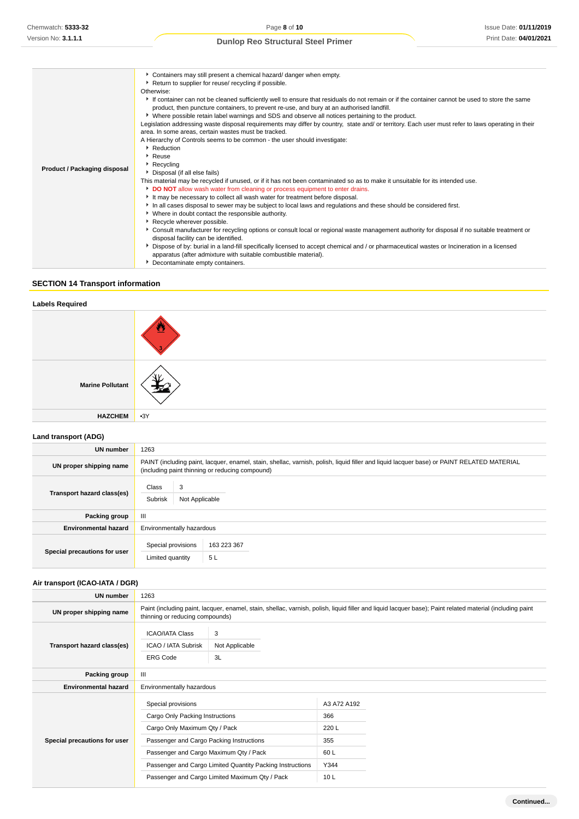| Product / Packaging disposal | Containers may still present a chemical hazard/ danger when empty.<br>Return to supplier for reuse/ recycling if possible.<br>Otherwise:<br>If container can not be cleaned sufficiently well to ensure that residuals do not remain or if the container cannot be used to store the same<br>product, then puncture containers, to prevent re-use, and bury at an authorised landfill.<br>• Where possible retain label warnings and SDS and observe all notices pertaining to the product.<br>Legislation addressing waste disposal requirements may differ by country, state and/ or territory. Each user must refer to laws operating in their<br>area. In some areas, certain wastes must be tracked.<br>A Hierarchy of Controls seems to be common - the user should investigate:<br>Reduction<br>$\cdot$ Reuse<br>Recycling<br>Disposal (if all else fails)<br>This material may be recycled if unused, or if it has not been contaminated so as to make it unsuitable for its intended use.<br>DO NOT allow wash water from cleaning or process equipment to enter drains.<br>It may be necessary to collect all wash water for treatment before disposal.<br>In all cases disposal to sewer may be subject to local laws and regulations and these should be considered first.<br>• Where in doubt contact the responsible authority.<br>Recycle wherever possible.<br>▶ Consult manufacturer for recycling options or consult local or regional waste management authority for disposal if no suitable treatment or |
|------------------------------|------------------------------------------------------------------------------------------------------------------------------------------------------------------------------------------------------------------------------------------------------------------------------------------------------------------------------------------------------------------------------------------------------------------------------------------------------------------------------------------------------------------------------------------------------------------------------------------------------------------------------------------------------------------------------------------------------------------------------------------------------------------------------------------------------------------------------------------------------------------------------------------------------------------------------------------------------------------------------------------------------------------------------------------------------------------------------------------------------------------------------------------------------------------------------------------------------------------------------------------------------------------------------------------------------------------------------------------------------------------------------------------------------------------------------------------------------------------------------------------------------------------------------|
|                              |                                                                                                                                                                                                                                                                                                                                                                                                                                                                                                                                                                                                                                                                                                                                                                                                                                                                                                                                                                                                                                                                                                                                                                                                                                                                                                                                                                                                                                                                                                                              |
|                              | disposal facility can be identified.                                                                                                                                                                                                                                                                                                                                                                                                                                                                                                                                                                                                                                                                                                                                                                                                                                                                                                                                                                                                                                                                                                                                                                                                                                                                                                                                                                                                                                                                                         |
|                              | Dispose of by: burial in a land-fill specifically licensed to accept chemical and / or pharmaceutical wastes or Incineration in a licensed<br>apparatus (after admixture with suitable combustible material).                                                                                                                                                                                                                                                                                                                                                                                                                                                                                                                                                                                                                                                                                                                                                                                                                                                                                                                                                                                                                                                                                                                                                                                                                                                                                                                |
|                              | Decontaminate empty containers.                                                                                                                                                                                                                                                                                                                                                                                                                                                                                                                                                                                                                                                                                                                                                                                                                                                                                                                                                                                                                                                                                                                                                                                                                                                                                                                                                                                                                                                                                              |

## **SECTION 14 Transport information**

# **Labels Required Marine Pollutant HAZCHEM** •3Y

## **Land transport (ADG)**

| UN number                    | 1263                                                                                                                                                                                          |                   |  |
|------------------------------|-----------------------------------------------------------------------------------------------------------------------------------------------------------------------------------------------|-------------------|--|
| UN proper shipping name      | PAINT (including paint, lacquer, enamel, stain, shellac, varnish, polish, liquid filler and liquid lacquer base) or PAINT RELATED MATERIAL<br>(including paint thinning or reducing compound) |                   |  |
| Transport hazard class(es)   | Class<br>3<br>Subrisk                                                                                                                                                                         | Not Applicable    |  |
| Packing group                | Ш                                                                                                                                                                                             |                   |  |
| <b>Environmental hazard</b>  | Environmentally hazardous                                                                                                                                                                     |                   |  |
| Special precautions for user | Special provisions<br>Limited quantity                                                                                                                                                        | 163 223 367<br>5L |  |

## **Air transport (ICAO-IATA / DGR)**

| UN number                    | 1263                                                                                                                                                                                         |                     |                 |  |  |
|------------------------------|----------------------------------------------------------------------------------------------------------------------------------------------------------------------------------------------|---------------------|-----------------|--|--|
| UN proper shipping name      | Paint (including paint, lacquer, enamel, stain, shellac, varnish, polish, liquid filler and liquid lacquer base); Paint related material (including paint<br>thinning or reducing compounds) |                     |                 |  |  |
| Transport hazard class(es)   | <b>ICAO/IATA Class</b><br><b>ICAO / IATA Subrisk</b>                                                                                                                                         | 3<br>Not Applicable |                 |  |  |
|                              | <b>ERG Code</b>                                                                                                                                                                              | 3L                  |                 |  |  |
| Packing group                | Ш                                                                                                                                                                                            |                     |                 |  |  |
| <b>Environmental hazard</b>  | Environmentally hazardous                                                                                                                                                                    |                     |                 |  |  |
| Special precautions for user | Special provisions                                                                                                                                                                           |                     | A3 A72 A192     |  |  |
|                              | Cargo Only Packing Instructions                                                                                                                                                              |                     | 366             |  |  |
|                              | Cargo Only Maximum Qty / Pack                                                                                                                                                                |                     | 220 L           |  |  |
|                              | Passenger and Cargo Packing Instructions                                                                                                                                                     |                     | 355             |  |  |
|                              | Passenger and Cargo Maximum Qty / Pack                                                                                                                                                       |                     | 60 L            |  |  |
|                              | Passenger and Cargo Limited Quantity Packing Instructions                                                                                                                                    |                     | Y344            |  |  |
|                              | Passenger and Cargo Limited Maximum Qty / Pack                                                                                                                                               |                     | 10 <sub>L</sub> |  |  |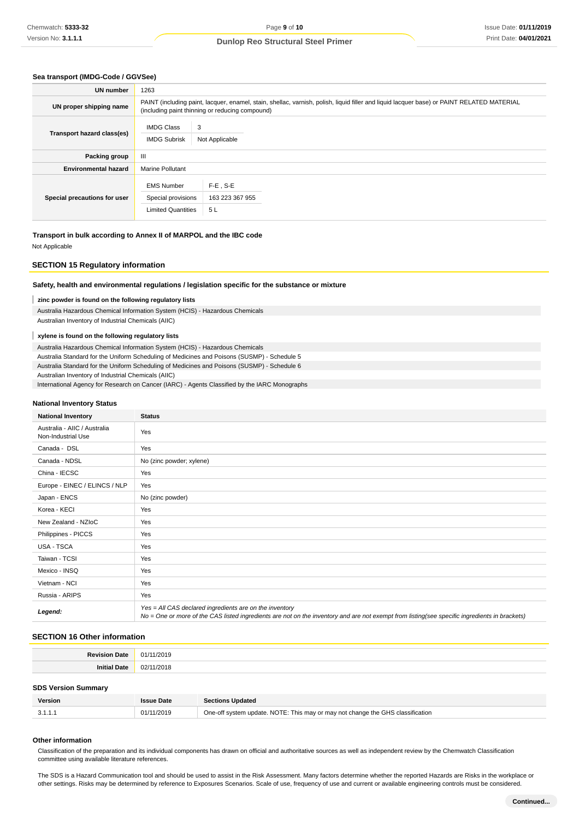#### **Sea transport (IMDG-Code / GGVSee)**

| <b>UN number</b>             | 1263                                                                                                                                                                                          |                                      |  |
|------------------------------|-----------------------------------------------------------------------------------------------------------------------------------------------------------------------------------------------|--------------------------------------|--|
| UN proper shipping name      | PAINT (including paint, lacquer, enamel, stain, shellac, varnish, polish, liquid filler and liquid lacquer base) or PAINT RELATED MATERIAL<br>(including paint thinning or reducing compound) |                                      |  |
| Transport hazard class(es)   | <b>IMDG Class</b><br>3<br><b>IMDG Subrisk</b>                                                                                                                                                 | Not Applicable                       |  |
| Packing group                | Ш                                                                                                                                                                                             |                                      |  |
| <b>Environmental hazard</b>  | <b>Marine Pollutant</b>                                                                                                                                                                       |                                      |  |
| Special precautions for user | <b>EMS Number</b><br>Special provisions<br><b>Limited Quantities</b>                                                                                                                          | $F-E$ . S-E<br>163 223 367 955<br>5L |  |

**Transport in bulk according to Annex II of MARPOL and the IBC code** Not Applicable

#### **SECTION 15 Regulatory information**

#### **Safety, health and environmental regulations / legislation specific for the substance or mixture**

#### **zinc powder is found on the following regulatory lists** I

Australia Hazardous Chemical Information System (HCIS) - Hazardous Chemicals Australian Inventory of Industrial Chemicals (AIIC)

#### **xylene is found on the following regulatory lists**

Australia Hazardous Chemical Information System (HCIS) - Hazardous Chemicals Australia Standard for the Uniform Scheduling of Medicines and Poisons (SUSMP) - Schedule 5 Australia Standard for the Uniform Scheduling of Medicines and Poisons (SUSMP) - Schedule 6 Australian Inventory of Industrial Chemicals (AIIC)

International Agency for Research on Cancer (IARC) - Agents Classified by the IARC Monographs

#### **National Inventory Status**

| <b>National Inventory</b>                          | <b>Status</b>                                                                                                                                                                                            |
|----------------------------------------------------|----------------------------------------------------------------------------------------------------------------------------------------------------------------------------------------------------------|
| Australia - AIIC / Australia<br>Non-Industrial Use | Yes                                                                                                                                                                                                      |
| Canada - DSL                                       | Yes                                                                                                                                                                                                      |
| Canada - NDSL                                      | No (zinc powder; xylene)                                                                                                                                                                                 |
| China - IECSC                                      | Yes                                                                                                                                                                                                      |
| Europe - EINEC / ELINCS / NLP                      | Yes                                                                                                                                                                                                      |
| Japan - ENCS                                       | No (zinc powder)                                                                                                                                                                                         |
| Korea - KECI                                       | Yes                                                                                                                                                                                                      |
| New Zealand - NZIoC                                | Yes                                                                                                                                                                                                      |
| Philippines - PICCS                                | Yes                                                                                                                                                                                                      |
| USA - TSCA                                         | Yes                                                                                                                                                                                                      |
| Taiwan - TCSI                                      | Yes                                                                                                                                                                                                      |
| Mexico - INSQ                                      | Yes                                                                                                                                                                                                      |
| Vietnam - NCI                                      | Yes                                                                                                                                                                                                      |
| Russia - ARIPS                                     | Yes                                                                                                                                                                                                      |
| Legend:                                            | Yes = All CAS declared ingredients are on the inventory<br>No = One or more of the CAS listed ingredients are not on the inventory and are not exempt from listing(see specific ingredients in brackets) |

## **SECTION 16 Other information**

| ъ. | በ1                    |
|----|-----------------------|
|    | 021<br>- ہ<br>--<br>. |

#### **SDS Version Summary**

| <b>Version</b> | <b>Issue Date</b> | <b>Sections Updated</b>                                                        |
|----------------|-------------------|--------------------------------------------------------------------------------|
| 3.1.1.1        | 01/11/2019        | One-off system update. NOTE: This may or may not change the GHS classification |

#### **Other information**

Classification of the preparation and its individual components has drawn on official and authoritative sources as well as independent review by the Chemwatch Classification committee using available literature references.

The SDS is a Hazard Communication tool and should be used to assist in the Risk Assessment. Many factors determine whether the reported Hazards are Risks in the workplace or other settings. Risks may be determined by reference to Exposures Scenarios. Scale of use, frequency of use and current or available engineering controls must be considered.